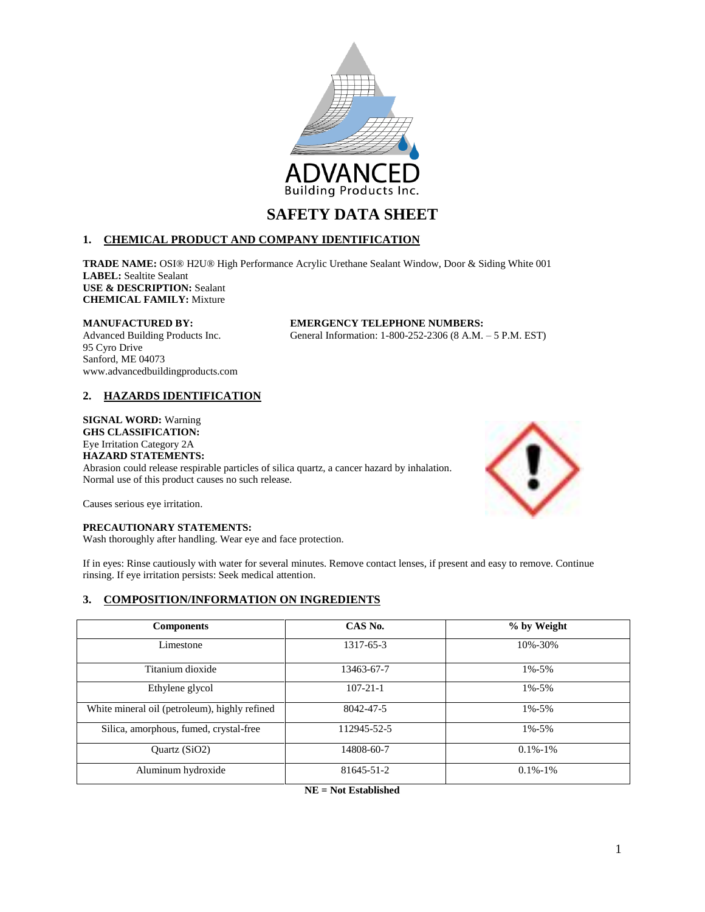

# **1. CHEMICAL PRODUCT AND COMPANY IDENTIFICATION**

**TRADE NAME:** OSI® H2U® High Performance Acrylic Urethane Sealant Window, Door & Siding White 001 **LABEL:** Sealtite Sealant **USE & DESCRIPTION:** Sealant **CHEMICAL FAMILY:** Mixture

# **MANUFACTURED BY: EMERGENCY TELEPHONE NUMBERS:**

Advanced Building Products Inc. General Information: 1-800-252-2306 (8 A.M. – 5 P.M. EST)

95 Cyro Drive Sanford, ME 04073 www.advancedbuildingproducts.com

# **2. HAZARDS IDENTIFICATION**

# **SIGNAL WORD:** Warning

**GHS CLASSIFICATION:**

Eye Irritation Category 2A **HAZARD STATEMENTS:**

Abrasion could release respirable particles of silica quartz, a cancer hazard by inhalation. Normal use of this product causes no such release.



Causes serious eye irritation.

# **PRECAUTIONARY STATEMENTS:**

Wash thoroughly after handling. Wear eye and face protection.

If in eyes: Rinse cautiously with water for several minutes. Remove contact lenses, if present and easy to remove. Continue rinsing. If eye irritation persists: Seek medical attention.

# **3. COMPOSITION/INFORMATION ON INGREDIENTS**

| <b>Components</b>                             | CAS No.        | % by Weight   |
|-----------------------------------------------|----------------|---------------|
| Limestone                                     | 1317-65-3      | 10%-30%       |
| Titanium dioxide                              | 13463-67-7     | $1\% - 5\%$   |
| Ethylene glycol                               | $107 - 21 - 1$ | $1\% - 5\%$   |
| White mineral oil (petroleum), highly refined | 8042-47-5      | $1\% - 5\%$   |
| Silica, amorphous, fumed, crystal-free        | 112945-52-5    | $1\% - 5\%$   |
| Quartz $(SiO2)$                               | 14808-60-7     | $0.1\% - 1\%$ |
| Aluminum hydroxide                            | 81645-51-2     | $0.1\% - 1\%$ |

**NE = Not Established**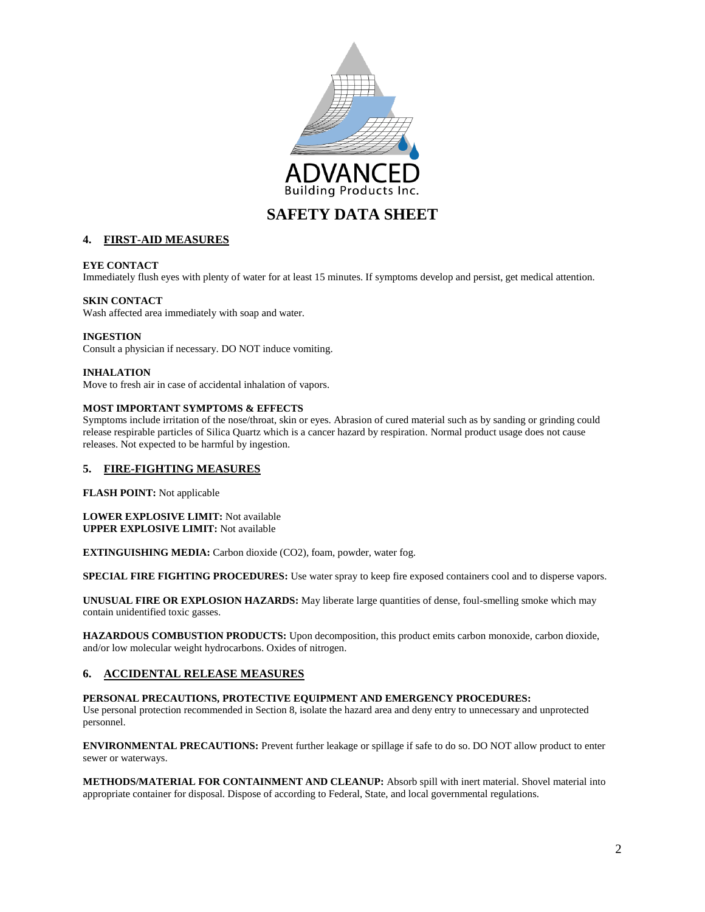

# **4. FIRST-AID MEASURES**

### **EYE CONTACT**

Immediately flush eyes with plenty of water for at least 15 minutes. If symptoms develop and persist, get medical attention.

# **SKIN CONTACT**

Wash affected area immediately with soap and water.

#### **INGESTION**

Consult a physician if necessary. DO NOT induce vomiting.

### **INHALATION**

Move to fresh air in case of accidental inhalation of vapors.

### **MOST IMPORTANT SYMPTOMS & EFFECTS**

Symptoms include irritation of the nose/throat, skin or eyes. Abrasion of cured material such as by sanding or grinding could release respirable particles of Silica Quartz which is a cancer hazard by respiration. Normal product usage does not cause releases. Not expected to be harmful by ingestion.

# **5. FIRE-FIGHTING MEASURES**

**FLASH POINT:** Not applicable

#### **LOWER EXPLOSIVE LIMIT:** Not available **UPPER EXPLOSIVE LIMIT:** Not available

**EXTINGUISHING MEDIA:** Carbon dioxide (CO2), foam, powder, water fog.

**SPECIAL FIRE FIGHTING PROCEDURES:** Use water spray to keep fire exposed containers cool and to disperse vapors.

**UNUSUAL FIRE OR EXPLOSION HAZARDS:** May liberate large quantities of dense, foul-smelling smoke which may contain unidentified toxic gasses.

**HAZARDOUS COMBUSTION PRODUCTS:** Upon decomposition, this product emits carbon monoxide, carbon dioxide, and/or low molecular weight hydrocarbons. Oxides of nitrogen.

# **6. ACCIDENTAL RELEASE MEASURES**

**PERSONAL PRECAUTIONS, PROTECTIVE EQUIPMENT AND EMERGENCY PROCEDURES:** Use personal protection recommended in Section 8, isolate the hazard area and deny entry to unnecessary and unprotected personnel.

**ENVIRONMENTAL PRECAUTIONS:** Prevent further leakage or spillage if safe to do so. DO NOT allow product to enter sewer or waterways.

**METHODS/MATERIAL FOR CONTAINMENT AND CLEANUP:** Absorb spill with inert material. Shovel material into appropriate container for disposal. Dispose of according to Federal, State, and local governmental regulations.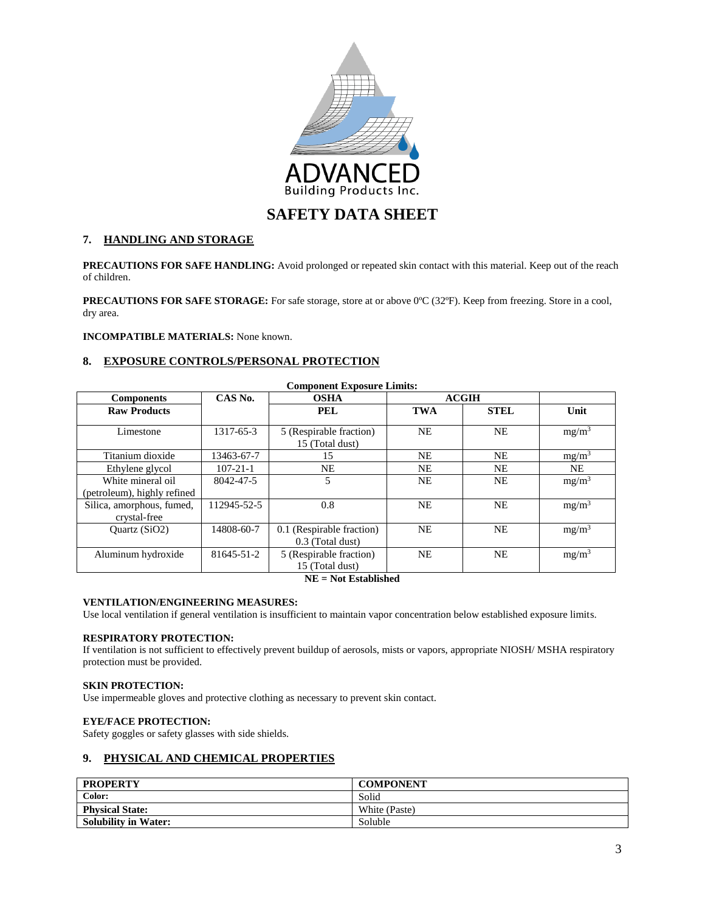

# **7. HANDLING AND STORAGE**

**PRECAUTIONS FOR SAFE HANDLING:** Avoid prolonged or repeated skin contact with this material. Keep out of the reach of children.

**PRECAUTIONS FOR SAFE STORAGE:** For safe storage, store at or above 0ºC (32ºF). Keep from freezing. Store in a cool, dry area.

## **INCOMPATIBLE MATERIALS:** None known.

# **8. EXPOSURE CONTROLS/PERSONAL PROTECTION**

| <b>Component Exposure Limits:</b> |                |                                            |              |             |          |
|-----------------------------------|----------------|--------------------------------------------|--------------|-------------|----------|
| <b>Components</b>                 | CAS No.        | <b>OSHA</b>                                | <b>ACGIH</b> |             |          |
| <b>Raw Products</b>               |                | <b>PEL</b>                                 | <b>TWA</b>   | <b>STEL</b> | Unit     |
| Limestone                         | 1317-65-3      | 5 (Respirable fraction)<br>15 (Total dust) | <b>NE</b>    | <b>NE</b>   | $mg/m^3$ |
| Titanium dioxide                  | 13463-67-7     | 15                                         | <b>NE</b>    | <b>NE</b>   | $mg/m^3$ |
| Ethylene glycol                   | $107 - 21 - 1$ | <b>NE</b>                                  | NE.          | <b>NE</b>   | NE.      |
| White mineral oil                 | 8042-47-5      | 5                                          | <b>NE</b>    | NE          | $mg/m^3$ |
| (petroleum), highly refined       |                |                                            |              |             |          |
| Silica, amorphous, fumed,         | 112945-52-5    | 0.8                                        | <b>NE</b>    | <b>NE</b>   | $mg/m^3$ |
| crystal-free                      |                |                                            |              |             |          |
| Ouartz $(SiO2)$                   | 14808-60-7     | 0.1 (Respirable fraction)                  | <b>NE</b>    | <b>NE</b>   | $mg/m^3$ |
|                                   |                | 0.3 (Total dust)                           |              |             |          |
| Aluminum hydroxide                | 81645-51-2     | 5 (Respirable fraction)                    | <b>NE</b>    | <b>NE</b>   | $mg/m^3$ |
|                                   |                | 15 (Total dust)                            |              |             |          |

**NE = Not Established**

# **VENTILATION/ENGINEERING MEASURES:**

Use local ventilation if general ventilation is insufficient to maintain vapor concentration below established exposure limits.

#### **RESPIRATORY PROTECTION:**

If ventilation is not sufficient to effectively prevent buildup of aerosols, mists or vapors, appropriate NIOSH/ MSHA respiratory protection must be provided.

## **SKIN PROTECTION:**

Use impermeable gloves and protective clothing as necessary to prevent skin contact.

# **EYE/FACE PROTECTION:**

Safety goggles or safety glasses with side shields.

# **9. PHYSICAL AND CHEMICAL PROPERTIES**

| <b>PROPERTY</b>             | <b>COMPONENT</b> |
|-----------------------------|------------------|
| Color:                      | Solid            |
| <b>Physical State:</b>      | White (Paste)    |
| <b>Solubility in Water:</b> | Soluble          |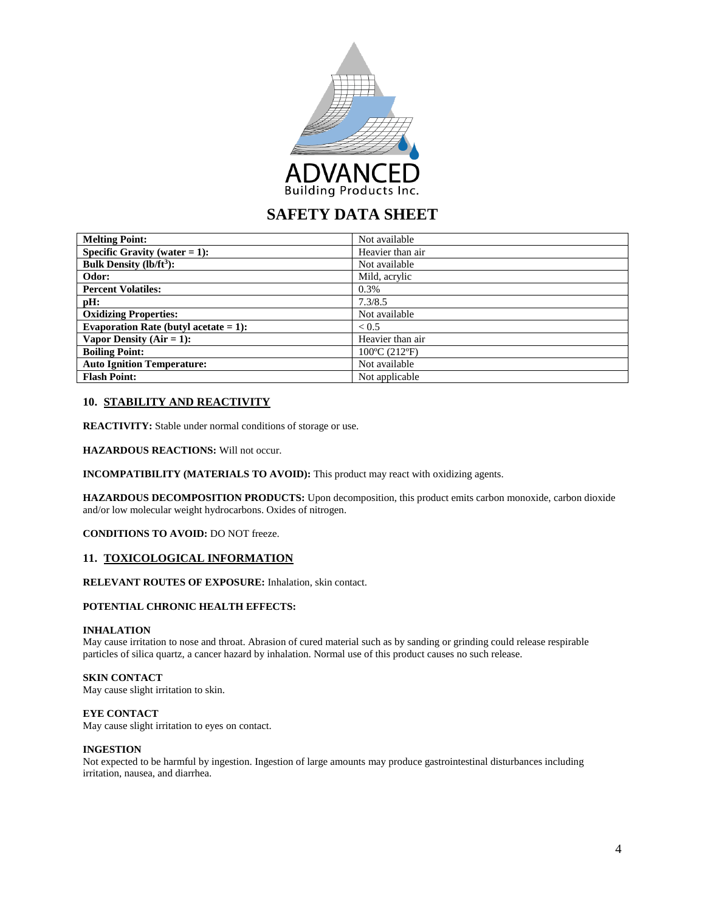

| <b>Melting Point:</b>                    | Not available    |
|------------------------------------------|------------------|
| Specific Gravity (water $= 1$ ):         | Heavier than air |
| <b>Bulk Density (lb/ft<sup>3</sup>):</b> | Not available    |
| Odor:                                    | Mild, acrylic    |
| <b>Percent Volatiles:</b>                | 0.3%             |
| pH:                                      | 7.3/8.5          |
| <b>Oxidizing Properties:</b>             | Not available    |
| Evaporation Rate (butyl acetate $= 1$ ): | < 0.5            |
| Vapor Density $(Air = 1)$ :              | Heavier than air |
| <b>Boiling Point:</b>                    | 100°C (212°F)    |
| <b>Auto Ignition Temperature:</b>        | Not available    |
| <b>Flash Point:</b>                      | Not applicable   |

# **10. STABILITY AND REACTIVITY**

**REACTIVITY:** Stable under normal conditions of storage or use.

**HAZARDOUS REACTIONS:** Will not occur.

**INCOMPATIBILITY (MATERIALS TO AVOID):** This product may react with oxidizing agents.

**HAZARDOUS DECOMPOSITION PRODUCTS:** Upon decomposition, this product emits carbon monoxide, carbon dioxide and/or low molecular weight hydrocarbons. Oxides of nitrogen.

**CONDITIONS TO AVOID:** DO NOT freeze.

#### **11. TOXICOLOGICAL INFORMATION**

# **RELEVANT ROUTES OF EXPOSURE:** Inhalation, skin contact.

# **POTENTIAL CHRONIC HEALTH EFFECTS:**

#### **INHALATION**

May cause irritation to nose and throat. Abrasion of cured material such as by sanding or grinding could release respirable particles of silica quartz, a cancer hazard by inhalation. Normal use of this product causes no such release.

#### **SKIN CONTACT**

May cause slight irritation to skin.

#### **EYE CONTACT**

May cause slight irritation to eyes on contact.

#### **INGESTION**

Not expected to be harmful by ingestion. Ingestion of large amounts may produce gastrointestinal disturbances including irritation, nausea, and diarrhea.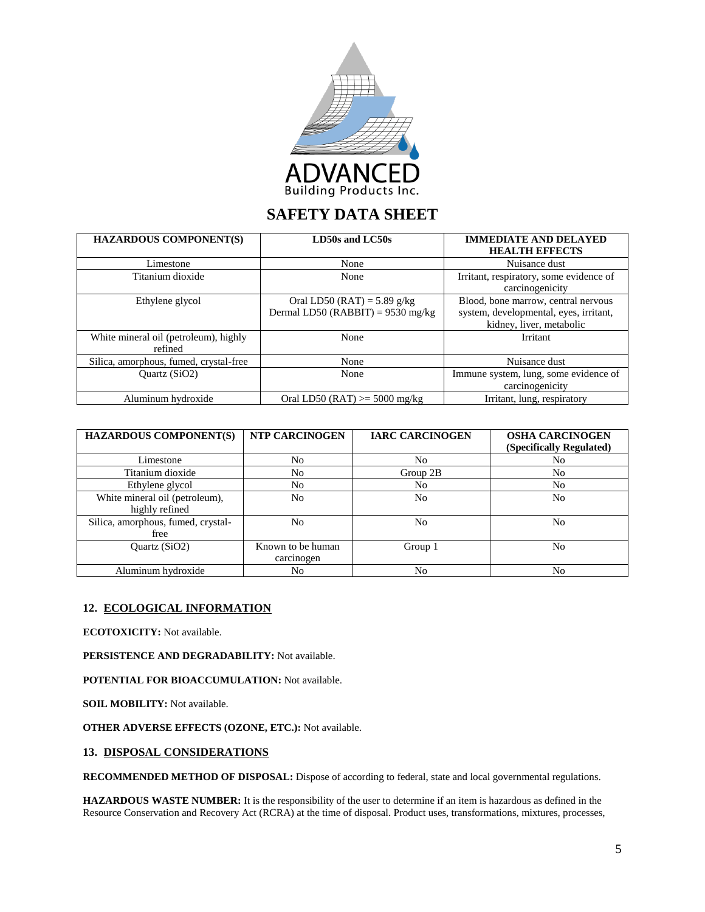

| <b>HAZARDOUS COMPONENT(S)</b>                    | LD50s and LC50s                                                    | <b>IMMEDIATE AND DELAYED</b><br><b>HEALTH EFFECTS</b>                                                     |
|--------------------------------------------------|--------------------------------------------------------------------|-----------------------------------------------------------------------------------------------------------|
| Limestone                                        | None                                                               | Nuisance dust                                                                                             |
| Titanium dioxide                                 | None                                                               | Irritant, respiratory, some evidence of<br>carcinogenicity                                                |
| Ethylene glycol                                  | Oral LD50 (RAT) = 5.89 g/kg<br>Dermal LD50 (RABBIT) = $9530$ mg/kg | Blood, bone marrow, central nervous<br>system, developmental, eyes, irritant,<br>kidney, liver, metabolic |
| White mineral oil (petroleum), highly<br>refined | None                                                               | Irritant                                                                                                  |
| Silica, amorphous, fumed, crystal-free           | None                                                               | Nuisance dust                                                                                             |
| Quartz (SiO2)                                    | None                                                               | Immune system, lung, some evidence of<br>carcinogenicity                                                  |
| Aluminum hydroxide                               | Oral LD50 (RAT) $>=$ 5000 mg/kg                                    | Irritant, lung, respiratory                                                                               |

| <b>HAZARDOUS COMPONENT(S)</b>                    | NTP CARCINOGEN                  | <b>IARC CARCINOGEN</b> | <b>OSHA CARCINOGEN</b><br>(Specifically Regulated) |
|--------------------------------------------------|---------------------------------|------------------------|----------------------------------------------------|
| Limestone                                        | No                              | No                     | No                                                 |
| Titanium dioxide                                 | No                              | Group 2B               | No                                                 |
| Ethylene glycol                                  | N <sub>o</sub>                  | No                     | No                                                 |
| White mineral oil (petroleum),<br>highly refined | No                              | No                     | No                                                 |
| Silica, amorphous, fumed, crystal-<br>free       | No                              | No                     | No                                                 |
| Quartz (SiO2)                                    | Known to be human<br>carcinogen | Group 1                | No                                                 |
| Aluminum hydroxide                               | No                              | No                     | No                                                 |

# **12. ECOLOGICAL INFORMATION**

**ECOTOXICITY:** Not available.

**PERSISTENCE AND DEGRADABILITY:** Not available.

**POTENTIAL FOR BIOACCUMULATION:** Not available.

**SOIL MOBILITY:** Not available.

**OTHER ADVERSE EFFECTS (OZONE, ETC.):** Not available.

# **13. DISPOSAL CONSIDERATIONS**

**RECOMMENDED METHOD OF DISPOSAL:** Dispose of according to federal, state and local governmental regulations.

**HAZARDOUS WASTE NUMBER:** It is the responsibility of the user to determine if an item is hazardous as defined in the Resource Conservation and Recovery Act (RCRA) at the time of disposal. Product uses, transformations, mixtures, processes,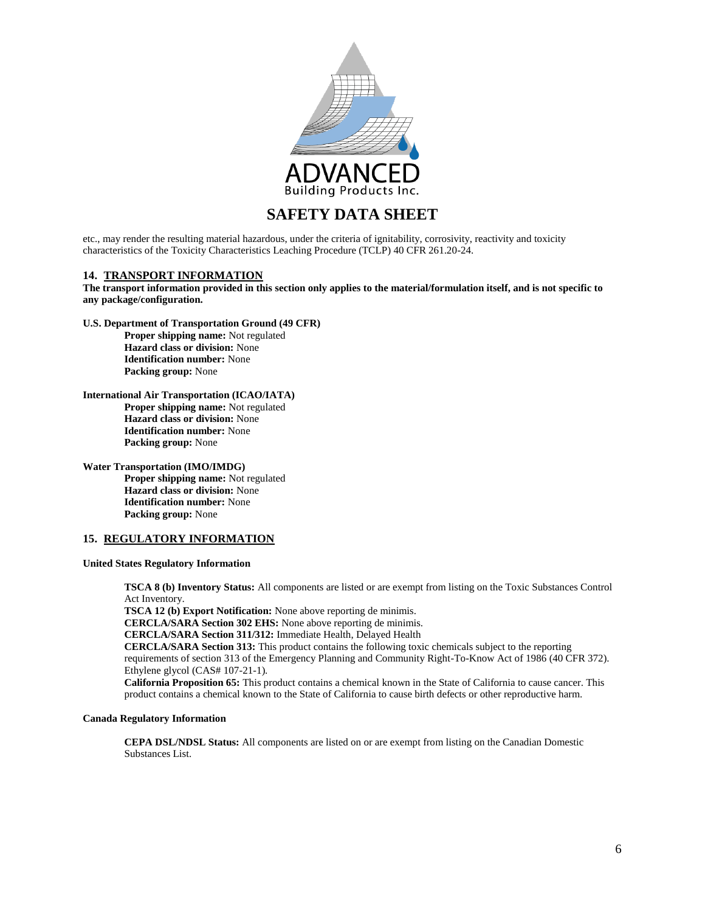

etc., may render the resulting material hazardous, under the criteria of ignitability, corrosivity, reactivity and toxicity characteristics of the Toxicity Characteristics Leaching Procedure (TCLP) 40 CFR 261.20-24.

#### **14. TRANSPORT INFORMATION**

**The transport information provided in this section only applies to the material/formulation itself, and is not specific to any package/configuration.**

**U.S. Department of Transportation Ground (49 CFR)**

**Proper shipping name:** Not regulated **Hazard class or division:** None **Identification number:** None **Packing group:** None

## **International Air Transportation (ICAO/IATA)**

**Proper shipping name:** Not regulated **Hazard class or division:** None **Identification number:** None **Packing group:** None

**Water Transportation (IMO/IMDG)**

**Proper shipping name:** Not regulated **Hazard class or division:** None **Identification number:** None **Packing group:** None

# **15. REGULATORY INFORMATION**

## **United States Regulatory Information**

**TSCA 8 (b) Inventory Status:** All components are listed or are exempt from listing on the Toxic Substances Control Act Inventory.

**TSCA 12 (b) Export Notification:** None above reporting de minimis.

**CERCLA/SARA Section 302 EHS:** None above reporting de minimis.

**CERCLA/SARA Section 311/312:** Immediate Health, Delayed Health

**CERCLA/SARA Section 313:** This product contains the following toxic chemicals subject to the reporting requirements of section 313 of the Emergency Planning and Community Right-To-Know Act of 1986 (40 CFR 372).

Ethylene glycol (CAS# 107-21-1).

**California Proposition 65:** This product contains a chemical known in the State of California to cause cancer. This product contains a chemical known to the State of California to cause birth defects or other reproductive harm.

### **Canada Regulatory Information**

**CEPA DSL/NDSL Status:** All components are listed on or are exempt from listing on the Canadian Domestic Substances List.